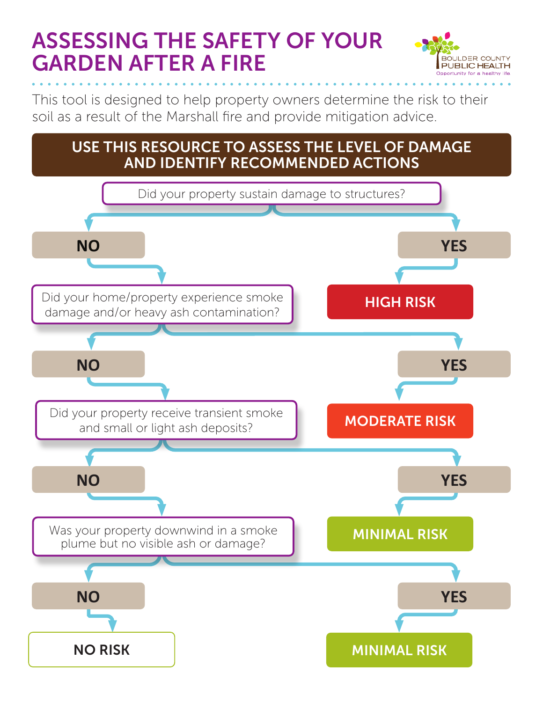# ASSESSING THE SAFETY OF YOUR GARDEN AFTER A FIRE



This tool is designed to help property owners determine the risk to their soil as a result of the Marshall fire and provide mitigation advice.